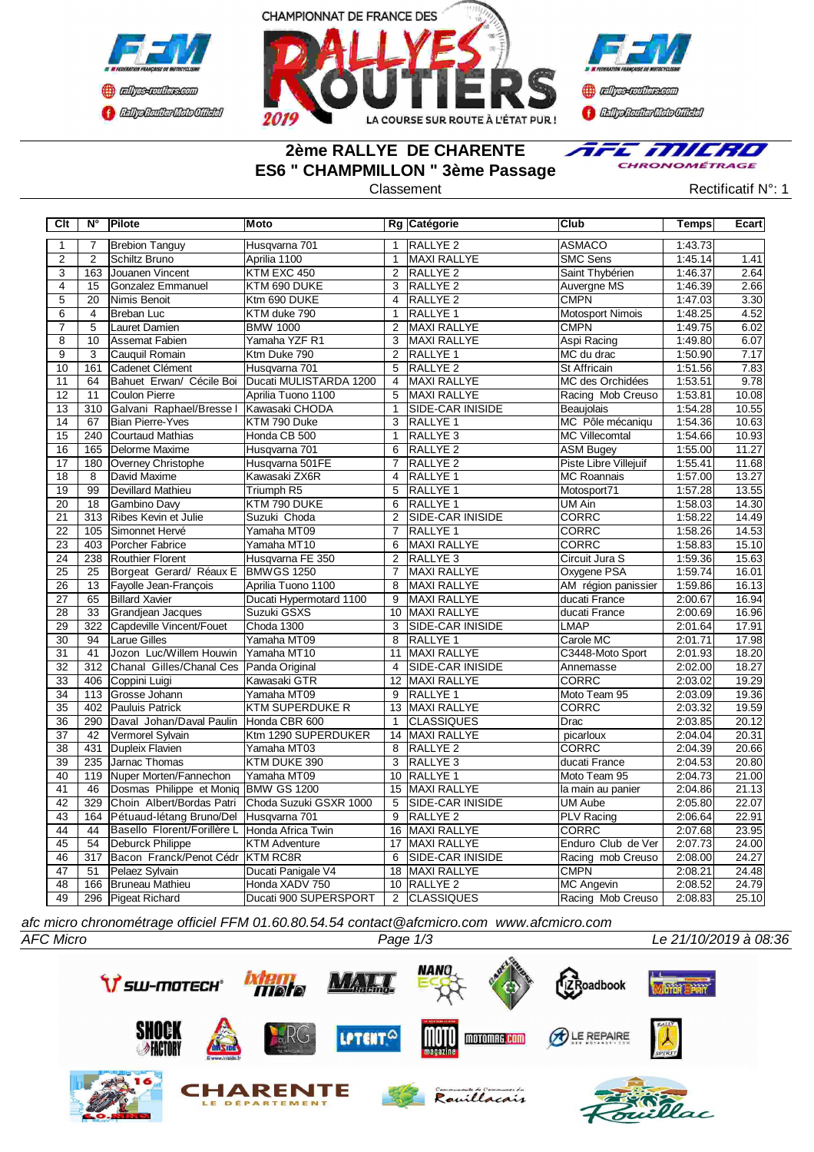



**Confederation CENTRAL MEDICATE** 

# **2ème RALLYE DE CHARENTE ES6 " CHAMPMILLON " 3ème Passage**



Classement **Classement** Rectificatif N°: 1

| Clt                   | $N^{\circ}$     | Pilote                                      | Moto                                    |                                  | Rg Catégorie                            | Club                                    | Temps              | Ecart          |
|-----------------------|-----------------|---------------------------------------------|-----------------------------------------|----------------------------------|-----------------------------------------|-----------------------------------------|--------------------|----------------|
| $\mathbf{1}$          | $\overline{7}$  | <b>Brebion Tanguy</b>                       | Husqvarna 701                           | $\mathbf{1}$                     | <b>RALLYE 2</b>                         | <b>ASMACO</b>                           | 1:43.73            |                |
| $\overline{2}$        | $\overline{2}$  | Schiltz Bruno                               | Aprilia 1100                            | $\mathbf{1}$                     | <b>MAXI RALLYE</b>                      | <b>SMC Sens</b>                         | 1:45.14            | 1.41           |
| 3                     | 163             | Jouanen Vincent                             | KTM EXC 450                             | $\overline{2}$                   | <b>RALLYE 2</b>                         | Saint Thybérien                         | 1:46.37            | 2.64           |
| $\overline{4}$        | 15              | Gonzalez Emmanuel                           | KTM 690 DUKE                            | 3                                | <b>RALLYE 2</b>                         | Auvergne MS                             | 1:46.39            | 2.66           |
| $\overline{5}$        | $\overline{20}$ | <b>Nimis Benoit</b>                         | Ktm 690 DUKE                            | $\overline{4}$                   | <b>RALLYE 2</b>                         | <b>CMPN</b>                             | 1:47.03            | 3.30           |
| $\overline{6}$        | $\overline{4}$  | <b>Breban Luc</b>                           | KTM duke 790                            | $\mathbf{1}$                     | RALLYE 1                                | <b>Motosport Nimois</b>                 | 1:48.25            | 4.52           |
| $\overline{7}$        | 5               | Lauret Damien                               | <b>BMW 1000</b>                         | $\overline{2}$                   | MAXI RALLYE                             | <b>CMPN</b>                             | 1:49.75            | 6.02           |
| $\overline{8}$        | 10              | <b>Assemat Fabien</b>                       | Yamaha YZF R1                           | 3                                | MAXI RALLYE                             | Aspi Racing                             | 1:49.80            | 6.07           |
| $\overline{9}$        | 3               | Cauquil Romain                              | Ktm Duke 790                            | 2                                | RALLYE 1                                | MC du drac                              | 1:50.90            | 7.17           |
| 10                    | 161             | <b>ICadenet Clément</b>                     | Husqvarna 701                           | 5                                | RALLYE <sub>2</sub>                     | <b>St Affricain</b>                     | 1:51.56            | 7.83           |
| 11                    | 64              | Bahuet Erwan/ Cécile Boi                    | Ducati MULISTARDA 1200                  | $\overline{4}$                   | <b>MAXI RALLYE</b>                      | MC des Orchidées                        | 1:53.51            | 9.78           |
| 12                    | 11              | Coulon Pierre                               | Aprilia Tuono 1100                      | 5                                | <b>MAXI RALLYE</b>                      | Racing Mob Creuso                       | 1:53.81            | 10.08          |
| 13                    | 310             | Galvani Raphael/Bresse I                    | Kawasaki CHODA                          | $\mathbf{1}$                     | SIDE-CAR INISIDE                        | Beaujolais                              | 1:54.28            | 10.55          |
| $\overline{14}$       | 67              | <b>Bian Pierre-Yves</b>                     | KTM 790 Duke                            | $\overline{3}$                   | <b>RALLYE 1</b>                         | MC Pôle mécaniqu                        | 1:54.36            | 10.63          |
| $\overline{15}$       | 240             | Courtaud Mathias                            | Honda CB 500                            | $\mathbf{1}$                     | <b>RALLYE 3</b>                         | <b>MC Villecomtal</b>                   | 1:54.66            | 10.93          |
| $\overline{16}$       | 165             | Delorme Maxime                              | Husqvarna 701                           | 6                                | <b>RALLYE 2</b>                         | <b>ASM Bugey</b>                        | 1:55.00            | 11.27          |
| 17                    | 180             | Overney Christophe                          | Husqvarna 501FE                         | $\overline{7}$                   | <b>RALLYE 2</b>                         | Piste Libre Villejuif                   | 1:55.41            | 11.68          |
| 18                    | 8               | David Maxime                                | Kawasaki ZX6R                           | 4                                | RALLYE 1                                | <b>MC Roannais</b>                      | 1:57.00            | 13.27          |
| 19                    | 99              | <b>Devillard Mathieu</b>                    | Triumph R5                              | 5                                | <b>RALLYE 1</b>                         | Motosport71                             | 1:57.28            | 13.55          |
| 20                    | 18              | <b>Gambino Davy</b>                         | KTM 790 DUKE                            | 6                                | RALLYE <sub>1</sub>                     | UM Ain                                  | 1:58.03            | 14.30          |
| 21                    | 313             | Ribes Kevin et Julie                        | Suzuki Choda                            | $\overline{2}$                   | SIDE-CAR INISIDE                        | <b>CORRC</b>                            | 1:58.22            | 14.49          |
| 22                    | 105             | Simonnet Hervé                              | Yamaha MT09                             | 7                                | RALLYE 1                                | CORRC                                   | 1:58.26            | 14.53          |
| 23                    | 403             | <b>Porcher Fabrice</b>                      | Yamaha MT10                             | 6                                | <b>MAXI RALLYE</b>                      | <b>CORRC</b>                            | 1:58.83            | 15.10          |
| 24                    | 238             | Routhier Florent                            | Husqvarna FE 350                        | 2                                | <b>RALLYE 3</b>                         | Circuit Jura S                          | 1:59.36            | 15.63          |
| $\overline{25}$       | 25              | Borgeat Gerard/ Réaux E                     | <b>BMWGS 1250</b>                       | 7                                | MAXI RALLYE                             | Oxygene PSA                             | 1:59.74            | 16.01          |
| 26                    | 13              | Fayolle Jean-François                       | Aprilia Tuono 1100                      | 8                                | MAXI RALLYE                             | AM région panissier                     | 1:59.86            | 16.13          |
| $\overline{27}$       | 65              | <b>Billard Xavier</b>                       | Ducati Hypermotard 1100                 | 9                                | MAXI RALLYE                             | ducati France                           | 2:00.67            | 16.94          |
| $\overline{28}$       | 33              | Grandjean Jacques                           | Suzuki GSXS                             | 10                               | <b>MAXI RALLYE</b>                      | ducati France                           | 2:00.69            | 16.96          |
| 29                    | 322             | Capdeville Vincent/Fouet                    | Choda 1300                              | 3                                | <b>SIDE-CAR INISIDE</b>                 | <b>LMAP</b>                             | 2:01.64            | 17.91          |
| 30                    | 94              | <b>Larue Gilles</b>                         | Yamaha MT09                             | 8                                | RALLYE 1                                | Carole MC                               | 2:01.71            | 17.98          |
| 31                    | 41              | Jozon Luc/Willem Houwin                     | Yamaha MT10                             | 11                               | MAXI RALLYE                             | C3448-Moto Sport                        | 2:01.93            | 18.20          |
| $\overline{32}$       | 312             | Chanal Gilles/Chanal Ces                    | Panda Original                          | 4                                | <b>ISIDE-CAR INISIDE</b>                | Annemasse                               | 2:02.00            | 18.27          |
| $\overline{33}$       | 406             | Coppini Luigi                               | Kawasaki GTR                            | $\overline{12}$                  | <b>MAXI RALLYE</b>                      | <b>CORRC</b>                            | 2:03.02            | 19.29          |
| $\overline{34}$       | 113             | <b>I</b> Grosse Johann                      | Yamaha MT09                             | $\overline{9}$                   | <b>RALLYE 1</b>                         | Moto Team 95                            | 2:03.09            | 19.36          |
| 35                    | 402             | Pauluis Patrick                             | <b>KTM SUPERDUKE R</b>                  | 13                               | MAXI RALLYE                             | CORRC                                   | 2:03.32            | 19.59          |
| 36                    | 290             | Daval Johan/Daval Paulin                    | Honda CBR 600                           | $\mathbf{1}$                     | <b>CLASSIQUES</b>                       | Drac                                    | 2:03.85            | 20.12          |
| $\overline{37}$       | 42              | Vermorel Svlvain                            | Ktm 1290 SUPERDUKER                     | 14                               | <b>MAXI RALLYE</b>                      | picarloux                               | 2:04.04            | 20.31          |
| $\overline{38}$       | 431             | Dupleix Flavien                             | Yamaha MT03                             | 8                                | <b>RALLYE 2</b>                         | <b>CORRC</b>                            | 2:04.39            | 20.66          |
| 39                    | 235             | Jarnac Thomas                               | KTM DUKE 390                            | 3                                | RALLYE 3                                | ducati France                           | 2:04.53            | 20.80          |
| 40                    | 119             | Nuper Morten/Fannechon                      | Yamaha MT09                             | 10                               | <b>RALLYE 1</b>                         | Moto Team 95                            | 2:04.73            | 21.00          |
| 41                    | 46              | Dosmas Philippe et Moniq BMW GS 1200        |                                         |                                  | 15 MAXI RALLYE                          | la main au panier                       | 2:04.86            | 21.13          |
| $\overline{42}$<br>43 | 329             | Choin Albert/Bordas Patri                   | Choda Suzuki GSXR 1000                  | $\overline{5}$<br>$\overline{9}$ | <b>SIDE-CAR INISIDE</b>                 | <b>UM Aube</b>                          | 2:05.80            | 22.07          |
| 44                    | 164<br>44       | Pétuaud-létang Bruno/Del                    | Husqvarna 701                           | 16                               | <b>RALLYE 2</b><br><b>MAXI RALLYE</b>   | <b>PLV Racing</b><br><b>CORRC</b>       | 2:06.64<br>2:07.68 | 22.91<br>23.95 |
|                       |                 | Basello Florent/Forillère L                 | Honda Africa Twin                       |                                  |                                         |                                         |                    |                |
| 45<br>46              | 54<br>317       | Deburck Philippe<br>Bacon Franck/Penot Cédr | <b>KTM Adventure</b><br><b>KTM RC8R</b> | 17<br>6                          | MAXI RALLYE<br><b>ISIDE-CAR INISIDE</b> | Enduro Club de Ver<br>Racing mob Creuso | 2:07.73<br>2:08.00 | 24.00<br>24.27 |
| 47                    | 51              | Pelaez Sylvain                              | Ducati Panigale V4                      | 18                               | MAXI RALLYE                             | <b>CMPN</b>                             | 2:08.21            | 24.48          |
| 48                    | 166             | Bruneau Mathieu                             | Honda XADV 750                          | 10                               | <b>RALLYE 2</b>                         | <b>MC Angevin</b>                       | 2:08.52            | 24.79          |
| 49                    |                 | 296 Pigeat Richard                          | Ducati 900 SUPERSPORT                   | 2                                | <b>CLASSIQUES</b>                       | Racing Mob Creuso                       | 2:08.83            | 25.10          |
|                       |                 |                                             |                                         |                                  |                                         |                                         |                    |                |

*afc micro chronométrage officiel FFM 01.60.80.54.54 contact@afcmicro.com www.afcmicro.com*

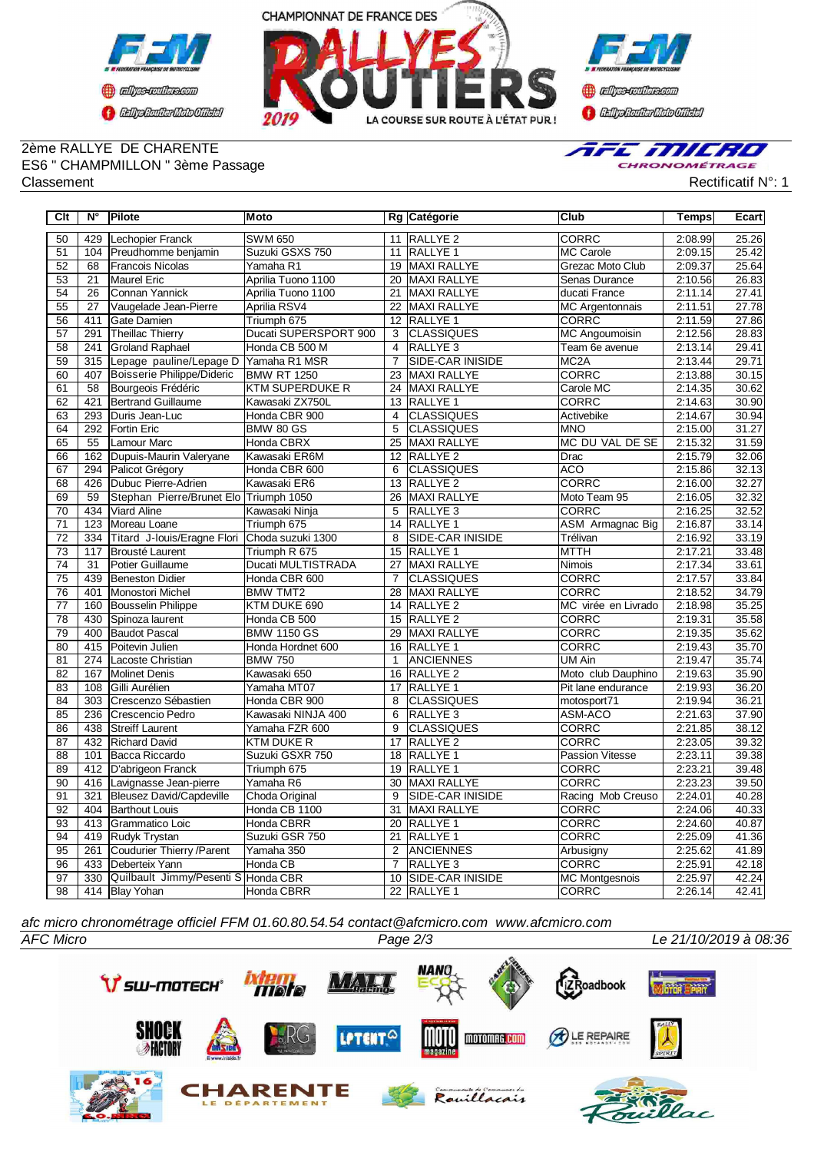



### 2ème RALLYE DE CHARENTE ES6 " CHAMPMILLON " 3ème Passage Classement Rectificatif N°: 1



| Clt             | $N^{\circ}$      | Pilote                                 | Moto                  |                 | Rg Catégorie            | Club                   | <b>Temps</b> | Ecart |
|-----------------|------------------|----------------------------------------|-----------------------|-----------------|-------------------------|------------------------|--------------|-------|
| 50              | 429              | Lechopier Franck                       | <b>SWM 650</b>        | 11              | <b>RALLYE 2</b>         | <b>CORRC</b>           | 2:08.99      | 25.26 |
| 51              | 104              | Preudhomme benjamin                    | Suzuki GSXS 750       | 11              | <b>RALLYE 1</b>         | <b>MC Carole</b>       | 2:09.15      | 25.42 |
| 52              | 68               | Francois Nicolas                       | Yamaha R1             | 19              | MAXI RALLYE             | Grezac Moto Club       | 2:09.37      | 25.64 |
| 53              | 21               | Maurel Eric                            | Aprilia Tuono 1100    | 20              | MAXI RALLYE             | Senas Durance          | 2:10.56      | 26.83 |
| 54              | 26               | Connan Yannick                         | Aprilia Tuono 1100    | 21              | MAXI RALLYE             | ducati France          | 2:11.14      | 27.41 |
| 55              | 27               | Vaugelade Jean-Pierre                  | Aprilia RSV4          | 22              | MAXI RALLYE             | <b>MC</b> Argentonnais | 2:11.51      | 27.78 |
| 56              | 411              | Gate Damien                            | Triumph 675           | 12              | RALLYE 1                | CORRC                  | 2:11.59      | 27.86 |
| 57              | 291              | Theillac Thierry                       | Ducati SUPERSPORT 900 | 3               | <b>CLASSIQUES</b>       | <b>MC Angoumoisin</b>  | 2:12.56      | 28.83 |
| $\overline{58}$ | 241              | <b>Groland Raphael</b>                 | Honda CB 500 M        | $\overline{4}$  | <b>RALLYE 3</b>         | Team 6e avenue         | 2:13.14      | 29.41 |
| 59              | 315              | Lepage pauline/Lepage D                | Yamaha R1 MSR         | $\overline{7}$  | <b>SIDE-CAR INISIDE</b> | MC <sub>2</sub> A      | 2:13.44      | 29.71 |
| 60              | 407              | Boisserie Philippe/Dideric             | <b>BMW RT 1250</b>    | $\overline{23}$ | <b>MAXI RALLYE</b>      | <b>CORRC</b>           | 2:13.88      | 30.15 |
| 61              | 58               | Bourgeois Frédéric                     | KTM SUPERDUKE R       | 24              | <b>MAXI RALLYE</b>      | Carole MC              | 2:14.35      | 30.62 |
| 62              | 421              | <b>Bertrand Guillaume</b>              | Kawasaki ZX750L       | 13              | RALLYE 1                | <b>CORRC</b>           | 2:14.63      | 30.90 |
| 63              | 293              | Duris Jean-Luc                         | Honda CBR 900         | $\overline{4}$  | <b>CLASSIQUES</b>       | Activebike             | 2:14.67      | 30.94 |
| 64              | 292              | <b>Fortin Eric</b>                     | <b>BMW 80 GS</b>      | $\overline{5}$  | <b>CLASSIQUES</b>       | <b>MNO</b>             | 2:15.00      | 31.27 |
| 65              | 55               | Lamour Marc                            | Honda CBRX            | 25              | <b>MAXI RALLYE</b>      | MC DU VAL DE SE        | 2:15.32      | 31.59 |
| 66              | 162              | Dupuis-Maurin Valeryane                | Kawasaki ER6M         | 12              | <b>RALLYE 2</b>         | Drac                   | 2:15.79      | 32.06 |
| 67              | 294              | Palicot Grégory                        | Honda CBR 600         | 6               | <b>CLASSIQUES</b>       | <b>ACO</b>             | 2:15.86      | 32.13 |
| 68              | 426              | Dubuc Pierre-Adrien                    | Kawasaki ER6          | 13              | <b>RALLYE 2</b>         | <b>CORRC</b>           | 2:16.00      | 32.27 |
| 69              | 59               | Stephan Pierre/Brunet Elo Triumph 1050 |                       | 26              | <b>MAXI RALLYE</b>      | Moto Team 95           | 2:16.05      | 32.32 |
| $\overline{70}$ | 434              | <b>Viard Aline</b>                     | Kawasaki Ninja        | 5               | RALLYE 3                | <b>CORRC</b>           | 2:16.25      | 32.52 |
| $\overline{71}$ | 123              | Moreau Loane                           | Triumph 675           | $\overline{14}$ | <b>RALLYE 1</b>         | ASM Armagnac Big       | 2:16.87      | 33.14 |
| $\overline{72}$ | 334              | Titard J-Iouis/Eragne Flori            | Choda suzuki 1300     | 8               | SIDE-CAR INISIDE        | Trélivan               | 2:16.92      | 33.19 |
| 73              | 117              | Brousté Laurent                        | Triumph R 675         | 15              | RALLYE 1                | <b>MTTH</b>            | 2:17.21      | 33.48 |
| $\overline{74}$ | 31               | Potier Guillaume                       | Ducati MULTISTRADA    | 27              | <b>MAXI RALLYE</b>      | Nimois                 | 2:17.34      | 33.61 |
| 75              | 439              | Beneston Didier                        | Honda CBR 600         | $\overline{7}$  | <b>CLASSIQUES</b>       | CORRC                  | 2:17.57      | 33.84 |
| 76              | 401              | Monostori Michel                       | <b>BMW TMT2</b>       | 28              | MAXI RALLYE             | CORRC                  | 2:18.52      | 34.79 |
| $\overline{77}$ | 160              | <b>Bousselin Philippe</b>              | KTM DUKE 690          | 14              | <b>RALLYE 2</b>         | MC virée en Livrado    | 2:18.98      | 35.25 |
| $\overline{78}$ | 430              | Spinoza laurent                        | Honda CB 500          | 15              | <b>RALLYE 2</b>         | <b>CORRC</b>           | 2:19.31      | 35.58 |
| 79              | 400              | <b>Baudot Pascal</b>                   | <b>BMW 1150 GS</b>    | 29              | MAXI RALLYE             | <b>CORRC</b>           | 2:19.35      | 35.62 |
| $\overline{80}$ | 415              | Poitevin Julien                        | Honda Hordnet 600     | 16              | <b>RALLYE 1</b>         | <b>CORRC</b>           | 2:19.43      | 35.70 |
| 81              | 274              | Lacoste Christian                      | <b>BMW 750</b>        | $\mathbf{1}$    | <b>ANCIENNES</b>        | UM Ain                 | 2:19.47      | 35.74 |
| 82              | 167              | Molinet Denis                          | Kawasaki 650          | 16              | RALLYE <sub>2</sub>     | Moto club Dauphino     | 2:19.63      | 35.90 |
| 83              | 108              | Gilli Aurélien                         | Yamaha MT07           | 17              | RALLYE 1                | Pit lane endurance     | 2:19.93      | 36.20 |
| 84              | $\overline{303}$ | Crescenzo Sébastien                    | Honda CBR 900         | 8               | <b>CLASSIQUES</b>       | motosport71            | 2:19.94      | 36.21 |
| 85              | 236              | Crescencio Pedro                       | Kawasaki NINJA 400    | 6               | <b>RALLYE3</b>          | ASM-ACO                | 2:21.63      | 37.90 |
| 86              | 438              | Streiff Laurent                        | Yamaha FZR 600        | 9               | <b>CLASSIQUES</b>       | CORRC                  | 2:21.85      | 38.12 |
| 87              | 432              | <b>Richard David</b>                   | <b>KTM DUKE R</b>     | 17              | RALLYE <sub>2</sub>     | CORRC                  | 2:23.05      | 39.32 |
| 88              | 101              | Bacca Riccardo                         | Suzuki GSXR 750       | $\overline{18}$ | <b>RALLYE 1</b>         | <b>Passion Vitesse</b> | 2:23.11      | 39.38 |
| 89              | 412              | D'abrigeon Franck                      | Triumph 675           | 19              | <b>RALLYE 1</b>         | <b>CORRC</b>           | 2:23.21      | 39.48 |
| $\overline{90}$ | 416              | Lavignasse Jean-pierre                 | Yamaha R6             | $\overline{30}$ | <b>MAXI RALLYE</b>      | <b>CORRC</b>           | 2:23.23      | 39.50 |
| 91              | 321              | Bleusez David/Capdeville               | Choda Original        | 9               | <b>SIDE-CAR INISIDE</b> | Racing Mob Creuso      | 2:24.01      | 40.28 |
| $\overline{92}$ | 404              | <b>Barthout Louis</b>                  | Honda CB 1100         | 31              | <b>MAXI RALLYE</b>      | CORRC                  | 2:24.06      | 40.33 |
| 93              | 413              | Grammatico Loic                        | Honda CBRR            | 20              | <b>RALLYE 1</b>         | CORRC                  | 2:24.60      | 40.87 |
| 94              | 419              | Rudyk Trystan                          | Suzuki GSR 750        | 21              | <b>RALLYE 1</b>         | <b>CORRC</b>           | 2:25.09      | 41.36 |
| 95              | 261              | Coudurier Thierry / Parent             | Yamaha 350            | 2               | <b>ANCIENNES</b>        | Arbusigny              | 2:25.62      | 41.89 |
| 96              | 433              | Deberteix Yann                         | Honda CB              | $\overline{7}$  | <b>RALLYE3</b>          | CORRC                  | 2:25.91      | 42.18 |
| $\overline{97}$ | 330              | Quilbault Jimmy/Pesenti S Honda CBR    |                       | 10              | <b>SIDE-CAR INISIDE</b> | <b>MC Montgesnois</b>  | 2:25.97      | 42.24 |
| 98              |                  | 414 Blay Yohan                         | Honda CBRR            |                 | 22 RALLYE 1             | <b>CORRC</b>           | 2:26.14      | 42.41 |

*afc micro chronométrage officiel FFM 01.60.80.54.54 contact@afcmicro.com www.afcmicro.com*